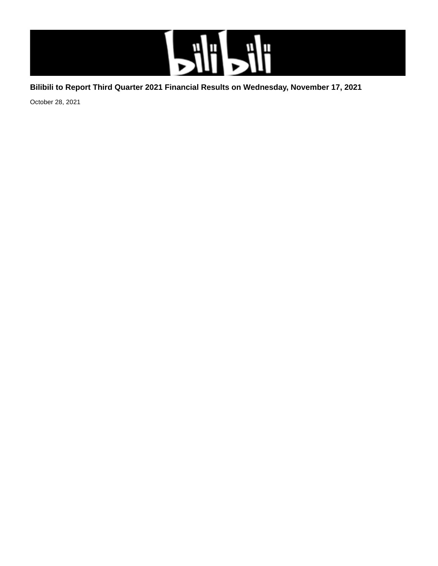

## **Bilibili to Report Third Quarter 2021 Financial Results on Wednesday, November 17, 2021**

October 28, 2021